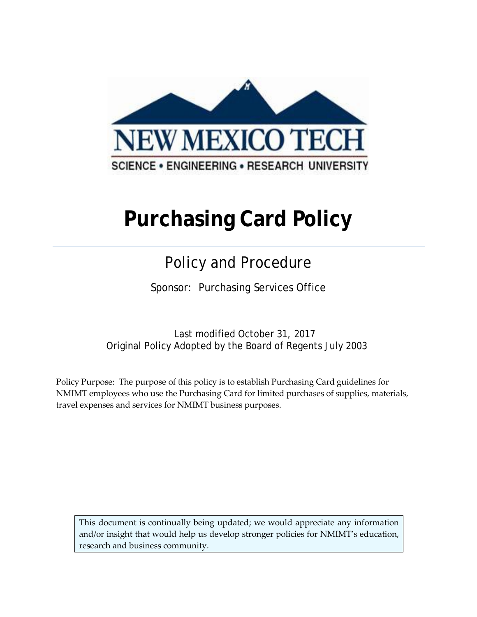

# **Purchasing Card Policy**

## Policy and Procedure

Sponsor: Purchasing Services Office

Last modified October 31, 2017 Original Policy Adopted by the Board of Regents July 2003

Policy Purpose: The purpose of this policy is to establish Purchasing Card guidelines for NMIMT employees who use the Purchasing Card for limited purchases of supplies, materials, travel expenses and services for NMIMT business purposes.

This document is continually being updated; we would appreciate any information and/or insight that would help us develop stronger policies for NMIMT's education, research and business community.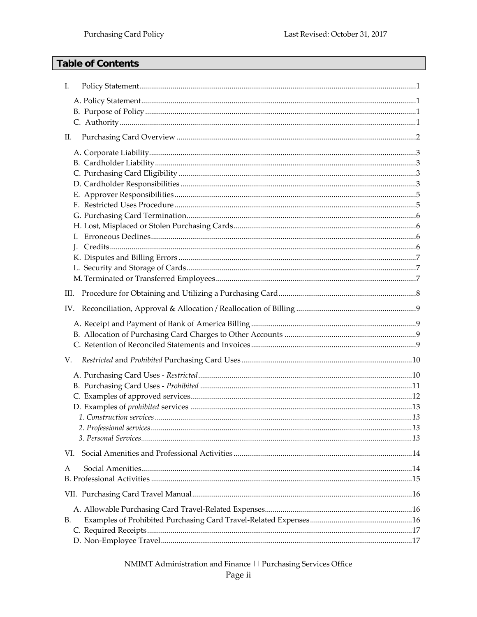#### **Table of Contents**

| I.  |  |
|-----|--|
|     |  |
|     |  |
|     |  |
| П.  |  |
|     |  |
|     |  |
|     |  |
|     |  |
|     |  |
|     |  |
|     |  |
|     |  |
|     |  |
|     |  |
|     |  |
|     |  |
|     |  |
|     |  |
|     |  |
| V.  |  |
|     |  |
|     |  |
|     |  |
|     |  |
|     |  |
| VI. |  |
|     |  |
| А   |  |
|     |  |
|     |  |
| В.  |  |
|     |  |
|     |  |

NMIMT Administration and Finance | | Purchasing Services Office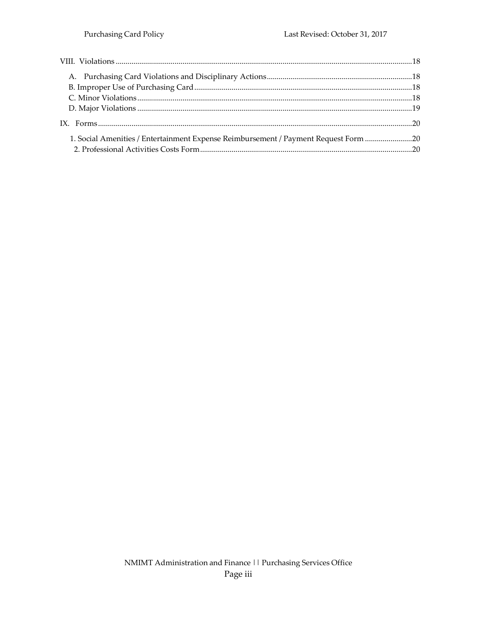| 1. Social Amenities / Entertainment Expense Reimbursement / Payment Request Form 20 |  |
|-------------------------------------------------------------------------------------|--|
|                                                                                     |  |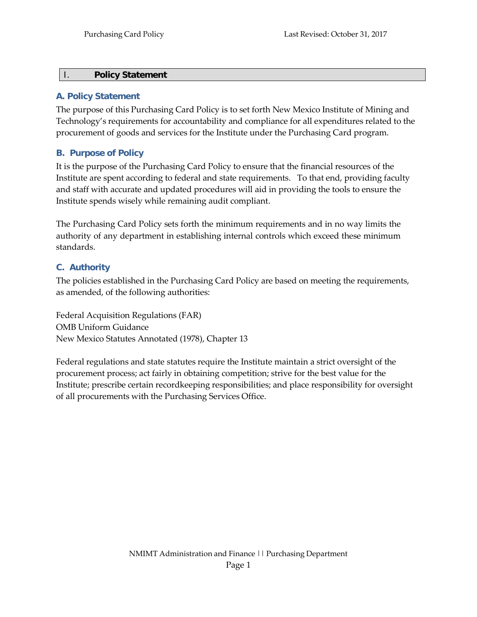#### <span id="page-3-0"></span>I. **Policy Statement**

#### <span id="page-3-1"></span>**A. Policy Statement**

The purpose of this Purchasing Card Policy is to set forth New Mexico Institute of Mining and Technology's requirements for accountability and compliance for all expenditures related to the procurement of goods and services for the Institute under the Purchasing Card program.

#### <span id="page-3-2"></span>**B. Purpose of Policy**

It is the purpose of the Purchasing Card Policy to ensure that the financial resources of the Institute are spent according to federal and state requirements. To that end, providing faculty and staff with accurate and updated procedures will aid in providing the tools to ensure the Institute spends wisely while remaining audit compliant.

The Purchasing Card Policy sets forth the minimum requirements and in no way limits the authority of any department in establishing internal controls which exceed these minimum standards.

#### <span id="page-3-3"></span>**C. Authority**

The policies established in the Purchasing Card Policy are based on meeting the requirements, as amended, of the following authorities:

Federal Acquisition Regulations (FAR) OMB Uniform Guidance New Mexico Statutes Annotated (1978), Chapter 13

Federal regulations and state statutes require the Institute maintain a strict oversight of the procurement process; act fairly in obtaining competition; strive for the best value for the Institute; prescribe certain recordkeeping responsibilities; and place responsibility for oversight of all procurements with the Purchasing Services Office.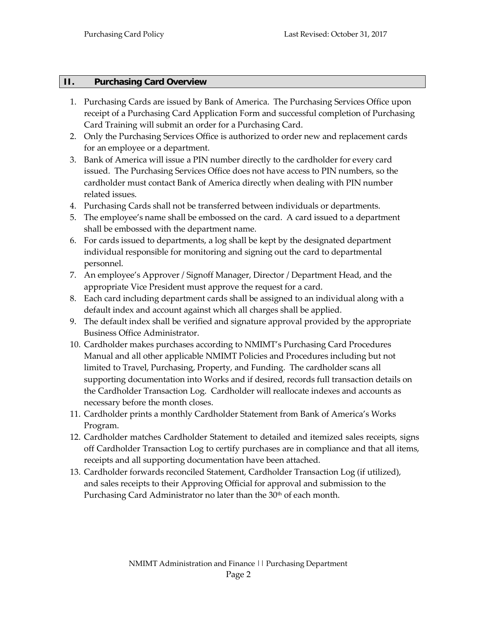#### <span id="page-4-0"></span>**II. Purchasing Card Overview**

- 1. Purchasing Cards are issued by Bank of America. The Purchasing Services Office upon receipt of a Purchasing Card Application Form and successful completion of Purchasing Card Training will submit an order for a Purchasing Card.
- 2. Only the Purchasing Services Office is authorized to order new and replacement cards for an employee or a department.
- 3. Bank of America will issue a PIN number directly to the cardholder for every card issued. The Purchasing Services Office does not have access to PIN numbers, so the cardholder must contact Bank of America directly when dealing with PIN number related issues.
- 4. Purchasing Cards shall not be transferred between individuals or departments.
- 5. The employee's name shall be embossed on the card. A card issued to a department shall be embossed with the department name.
- 6. For cards issued to departments, a log shall be kept by the designated department individual responsible for monitoring and signing out the card to departmental personnel.
- 7. An employee's Approver / Signoff Manager, Director / Department Head, and the appropriate Vice President must approve the request for a card.
- 8. Each card including department cards shall be assigned to an individual along with a default index and account against which all charges shall be applied.
- 9. The default index shall be verified and signature approval provided by the appropriate Business Office Administrator.
- 10. Cardholder makes purchases according to NMIMT's Purchasing Card Procedures Manual and all other applicable NMIMT Policies and Procedures including but not limited to Travel, Purchasing, Property, and Funding. The cardholder scans all supporting documentation into Works and if desired, records full transaction details on the Cardholder Transaction Log. Cardholder will reallocate indexes and accounts as necessary before the month closes.
- 11. Cardholder prints a monthly Cardholder Statement from Bank of America's Works Program.
- 12. Cardholder matches Cardholder Statement to detailed and itemized sales receipts, signs off Cardholder Transaction Log to certify purchases are in compliance and that all items, receipts and all supporting documentation have been attached.
- 13. Cardholder forwards reconciled Statement, Cardholder Transaction Log (if utilized), and sales receipts to their Approving Official for approval and submission to the Purchasing Card Administrator no later than the 30<sup>th</sup> of each month.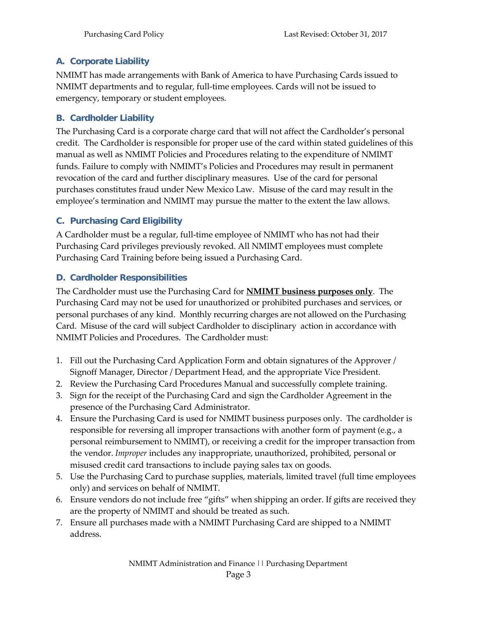#### <span id="page-5-0"></span>**A. Corporate Liability**

NMIMT has made arrangements with Bank of America to have Purchasing Cards issued to NMIMT departments and to regular, full-time employees. Cards will not be issued to emergency, temporary or student employees.

#### <span id="page-5-1"></span>**B. Cardholder Liability**

The Purchasing Card is a corporate charge card that will not affect the Cardholder's personal credit. The Cardholder is responsible for proper use of the card within stated guidelines of this manual as well as NMIMT Policies and Procedures relating to the expenditure of NMIMT funds. Failure to comply with NMIMT's Policies and Procedures may result in permanent revocation of the card and further disciplinary measures. Use of the card for personal purchases constitutes fraud under New Mexico Law. Misuse of the card may result in the employee's termination and NMIMT may pursue the matter to the extent the law allows.

#### <span id="page-5-2"></span>**C. Purchasing Card Eligibility**

A Cardholder must be a regular, full-time employee of NMIMT who has not had their Purchasing Card privileges previously revoked. All NMIMT employees must complete Purchasing Card Training before being issued a Purchasing Card.

#### <span id="page-5-3"></span>**D. Cardholder Responsibilities**

The Cardholder must use the Purchasing Card for **NMIMT business purposes only**. The Purchasing Card may not be used for unauthorized or prohibited purchases and services, or personal purchases of any kind. Monthly recurring charges are not allowed on the Purchasing Card. Misuse of the card will subject Cardholder to disciplinary action in accordance with NMIMT Policies and Procedures. The Cardholder must:

- 1. Fill out the Purchasing Card Application Form and obtain signatures of the Approver / Signoff Manager, Director / Department Head, and the appropriate Vice President.
- 2. Review the Purchasing Card Procedures Manual and successfully complete training.
- 3. Sign for the receipt of the Purchasing Card and sign the Cardholder Agreement in the presence of the Purchasing Card Administrator.
- 4. Ensure the Purchasing Card is used for NMIMT business purposes only. The cardholder is responsible for reversing all improper transactions with another form of payment (e.g., a personal reimbursement to NMIMT), or receiving a credit for the improper transaction from the vendor. *Improper* includes any inappropriate, unauthorized, prohibited, personal or misused credit card transactions to include paying sales tax on goods.
- 5. Use the Purchasing Card to purchase supplies, materials, limited travel (full time employees only) and services on behalf of NMIMT.
- 6. Ensure vendors do not include free "gifts" when shipping an order. If gifts are received they are the property of NMIMT and should be treated as such.
- 7. Ensure all purchases made with a NMIMT Purchasing Card are shipped to a NMIMT address.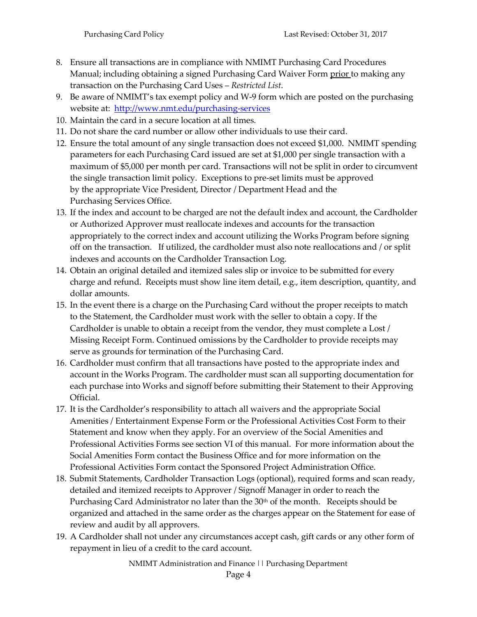- 8. Ensure all transactions are in compliance with NMIMT Purchasing Card Procedures Manual; including obtaining a signed Purchasing Card Waiver Form prior to making any transaction on the Purchasing Card Uses – *Restricted List*.
- 9. Be aware of NMIMT's tax exempt policy and W-9 form which are posted on the purchasing website at: <http://www.nmt.edu/purchasing-services>
- 10. Maintain the card in a secure location at all times.
- 11. Do not share the card number or allow other individuals to use their card.
- 12. Ensure the total amount of any single transaction does not exceed \$1,000. NMIMT spending parameters for each Purchasing Card issued are set at \$1,000 per single transaction with a maximum of \$5,000 per month per card. Transactions will not be split in order to circumvent the single transaction limit policy. Exceptions to pre-set limits must be approved by the appropriate Vice President, Director / Department Head and the Purchasing Services Office.
- 13. If the index and account to be charged are not the default index and account, the Cardholder or Authorized Approver must reallocate indexes and accounts for the transaction appropriately to the correct index and account utilizing the Works Program before signing off on the transaction. If utilized, the cardholder must also note reallocations and / or split indexes and accounts on the Cardholder Transaction Log.
- 14. Obtain an original detailed and itemized sales slip or invoice to be submitted for every charge and refund. Receipts must show line item detail, e.g., item description, quantity, and dollar amounts.
- 15. In the event there is a charge on the Purchasing Card without the proper receipts to match to the Statement, the Cardholder must work with the seller to obtain a copy. If the Cardholder is unable to obtain a receipt from the vendor, they must complete a Lost / Missing Receipt Form. Continued omissions by the Cardholder to provide receipts may serve as grounds for termination of the Purchasing Card.
- 16. Cardholder must confirm that all transactions have posted to the appropriate index and account in the Works Program. The cardholder must scan all supporting documentation for each purchase into Works and signoff before submitting their Statement to their Approving Official.
- 17. It is the Cardholder's responsibility to attach all waivers and the appropriate Social Amenities / Entertainment Expense Form or the Professional Activities Cost Form to their Statement and know when they apply. For an overview of the Social Amenities and Professional Activities Forms see section VI of this manual. For more information about the Social Amenities Form contact the Business Office and for more information on the Professional Activities Form contact the Sponsored Project Administration Office.
- 18. Submit Statements, Cardholder Transaction Logs (optional), required forms and scan ready, detailed and itemized receipts to Approver / Signoff Manager in order to reach the Purchasing Card Administrator no later than the 30<sup>th</sup> of the month. Receipts should be organized and attached in the same order as the charges appear on the Statement for ease of review and audit by all approvers.
- 19. A Cardholder shall not under any circumstances accept cash, gift cards or any other form of repayment in lieu of a credit to the card account.

NMIMT Administration and Finance || Purchasing Department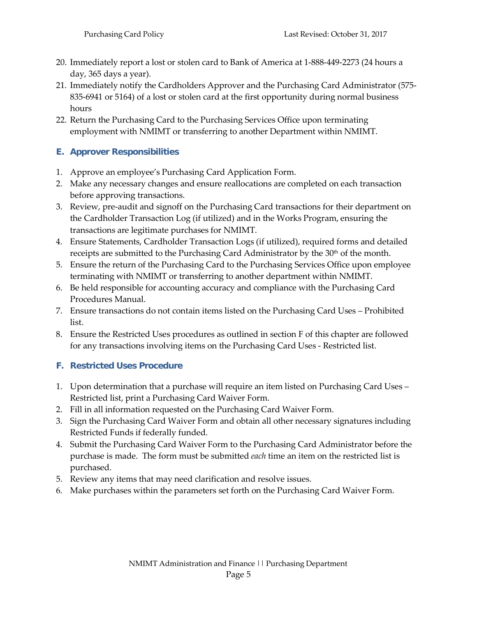- 20. Immediately report a lost or stolen card to Bank of America at 1-888-449-2273 (24 hours a day, 365 days a year).
- 21. Immediately notify the Cardholders Approver and the Purchasing Card Administrator (575- 835-6941 or 5164) of a lost or stolen card at the first opportunity during normal business hours
- 22. Return the Purchasing Card to the Purchasing Services Office upon terminating employment with NMIMT or transferring to another Department within NMIMT.

#### <span id="page-7-0"></span>**E. Approver Responsibilities**

- 1. Approve an employee's Purchasing Card Application Form.
- 2. Make any necessary changes and ensure reallocations are completed on each transaction before approving transactions.
- 3. Review, pre-audit and signoff on the Purchasing Card transactions for their department on the Cardholder Transaction Log (if utilized) and in the Works Program, ensuring the transactions are legitimate purchases for NMIMT.
- 4. Ensure Statements, Cardholder Transaction Logs (if utilized), required forms and detailed receipts are submitted to the Purchasing Card Administrator by the 30<sup>th</sup> of the month.
- 5. Ensure the return of the Purchasing Card to the Purchasing Services Office upon employee terminating with NMIMT or transferring to another department within NMIMT.
- 6. Be held responsible for accounting accuracy and compliance with the Purchasing Card Procedures Manual.
- 7. Ensure transactions do not contain items listed on the Purchasing Card Uses Prohibited list.
- 8. Ensure the Restricted Uses procedures as outlined in section F of this chapter are followed for any transactions involving items on the Purchasing Card Uses - Restricted list.

#### <span id="page-7-1"></span>**F. Restricted Uses Procedure**

- 1. Upon determination that a purchase will require an item listed on Purchasing Card Uses Restricted list, print a Purchasing Card Waiver Form.
- 2. Fill in all information requested on the Purchasing Card Waiver Form.
- 3. Sign the Purchasing Card Waiver Form and obtain all other necessary signatures including Restricted Funds if federally funded.
- 4. Submit the Purchasing Card Waiver Form to the Purchasing Card Administrator before the purchase is made. The form must be submitted *each* time an item on the restricted list is purchased.
- 5. Review any items that may need clarification and resolve issues.
- 6. Make purchases within the parameters set forth on the Purchasing Card Waiver Form.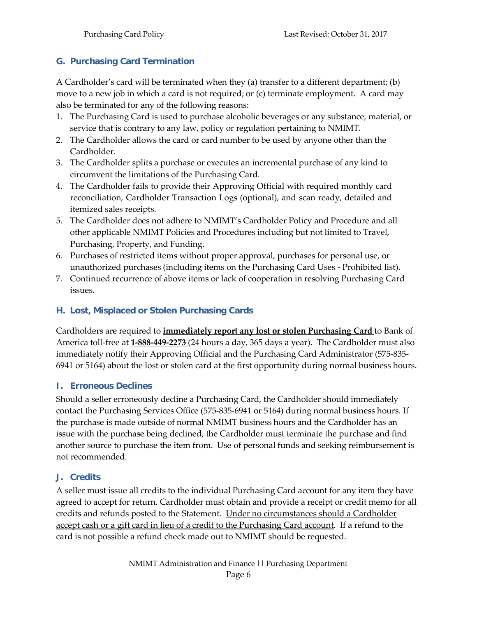#### <span id="page-8-0"></span>**G. Purchasing Card Termination**

A Cardholder's card will be terminated when they (a) transfer to a different department; (b) move to a new job in which a card is not required; or (c) terminate employment. A card may also be terminated for any of the following reasons:

- 1. The Purchasing Card is used to purchase alcoholic beverages or any substance, material, or service that is contrary to any law, policy or regulation pertaining to NMIMT.
- 2. The Cardholder allows the card or card number to be used by anyone other than the Cardholder.
- 3. The Cardholder splits a purchase or executes an incremental purchase of any kind to circumvent the limitations of the Purchasing Card.
- 4. The Cardholder fails to provide their Approving Official with required monthly card reconciliation, Cardholder Transaction Logs (optional), and scan ready, detailed and itemized sales receipts.
- 5. The Cardholder does not adhere to NMIMT's Cardholder Policy and Procedure and all other applicable NMIMT Policies and Procedures including but not limited to Travel, Purchasing, Property, and Funding.
- 6. Purchases of restricted items without proper approval, purchases for personal use, or unauthorized purchases (including items on the Purchasing Card Uses - Prohibited list).
- <span id="page-8-1"></span>7. Continued recurrence of above items or lack of cooperation in resolving Purchasing Card issues.

#### **H. Lost, Misplaced or Stolen Purchasing Cards**

Cardholders are required to **immediately report any lost or stolen Purchasing Card** to Bank of America toll-free at **1-888-449-2273** (24 hours a day, 365 days a year). The Cardholder must also immediately notify their Approving Official and the Purchasing Card Administrator (575-835- 6941 or 5164) about the lost or stolen card at the first opportunity during normal business hours.

#### <span id="page-8-2"></span>**I. Erroneous Declines**

Should a seller erroneously decline a Purchasing Card, the Cardholder should immediately contact the Purchasing Services Office (575-835-6941 or 5164) during normal business hours. If the purchase is made outside of normal NMIMT business hours and the Cardholder has an issue with the purchase being declined, the Cardholder must terminate the purchase and find another source to purchase the item from. Use of personal funds and seeking reimbursement is not recommended.

#### <span id="page-8-3"></span>**J. Credits**

A seller must issue all credits to the individual Purchasing Card account for any item they have agreed to accept for return. Cardholder must obtain and provide a receipt or credit memo for all credits and refunds posted to the Statement. Under no circumstances should a Cardholder accept cash or a gift card in lieu of a credit to the Purchasing Card account. If a refund to the card is not possible a refund check made out to NMIMT should be requested.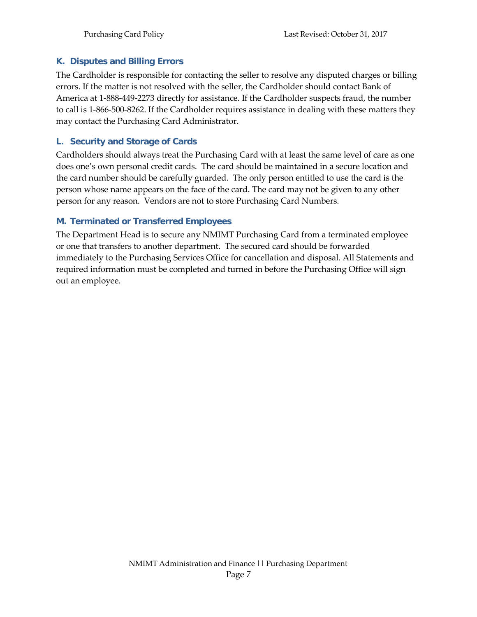#### <span id="page-9-0"></span>**K. Disputes and Billing Errors**

The Cardholder is responsible for contacting the seller to resolve any disputed charges or billing errors. If the matter is not resolved with the seller, the Cardholder should contact Bank of America at 1-888-449-2273 directly for assistance. If the Cardholder suspects fraud, the number to call is 1-866-500-8262. If the Cardholder requires assistance in dealing with these matters they may contact the Purchasing Card Administrator.

#### <span id="page-9-1"></span>**L. Security and Storage of Cards**

Cardholders should always treat the Purchasing Card with at least the same level of care as one does one's own personal credit cards. The card should be maintained in a secure location and the card number should be carefully guarded. The only person entitled to use the card is the person whose name appears on the face of the card. The card may not be given to any other person for any reason. Vendors are not to store Purchasing Card Numbers.

#### <span id="page-9-2"></span>**M. Terminated or Transferred Employees**

The Department Head is to secure any NMIMT Purchasing Card from a terminated employee or one that transfers to another department. The secured card should be forwarded immediately to the Purchasing Services Office for cancellation and disposal. All Statements and required information must be completed and turned in before the Purchasing Office will sign out an employee.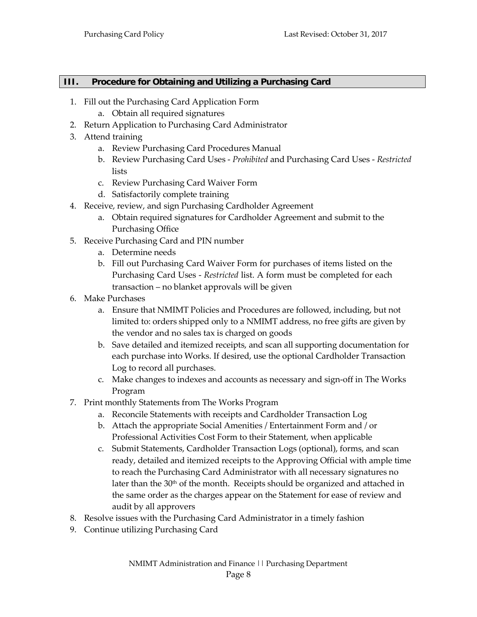#### <span id="page-10-0"></span>**III. Procedure for Obtaining and Utilizing a Purchasing Card**

- 1. Fill out the Purchasing Card Application Form
	- a. Obtain all required signatures
- 2. Return Application to Purchasing Card Administrator
- 3. Attend training
	- a. Review Purchasing Card Procedures Manual
	- b. Review Purchasing Card Uses *Prohibited* and Purchasing Card Uses *Restricted* lists
	- c. Review Purchasing Card Waiver Form
	- d. Satisfactorily complete training
- 4. Receive, review, and sign Purchasing Cardholder Agreement
	- a. Obtain required signatures for Cardholder Agreement and submit to the Purchasing Office
- 5. Receive Purchasing Card and PIN number
	- a. Determine needs
	- b. Fill out Purchasing Card Waiver Form for purchases of items listed on the Purchasing Card Uses - *Restricted* list. A form must be completed for each transaction – no blanket approvals will be given
- 6. Make Purchases
	- a. Ensure that NMIMT Policies and Procedures are followed, including, but not limited to: orders shipped only to a NMIMT address, no free gifts are given by the vendor and no sales tax is charged on goods
	- b. Save detailed and itemized receipts, and scan all supporting documentation for each purchase into Works. If desired, use the optional Cardholder Transaction Log to record all purchases.
	- c. Make changes to indexes and accounts as necessary and sign-off in The Works Program
- 7. Print monthly Statements from The Works Program
	- a. Reconcile Statements with receipts and Cardholder Transaction Log
	- b. Attach the appropriate Social Amenities / Entertainment Form and / or Professional Activities Cost Form to their Statement, when applicable
	- c. Submit Statements, Cardholder Transaction Logs (optional), forms, and scan ready, detailed and itemized receipts to the Approving Official with ample time to reach the Purchasing Card Administrator with all necessary signatures no later than the  $30<sup>th</sup>$  of the month. Receipts should be organized and attached in the same order as the charges appear on the Statement for ease of review and audit by all approvers
- 8. Resolve issues with the Purchasing Card Administrator in a timely fashion
- 9. Continue utilizing Purchasing Card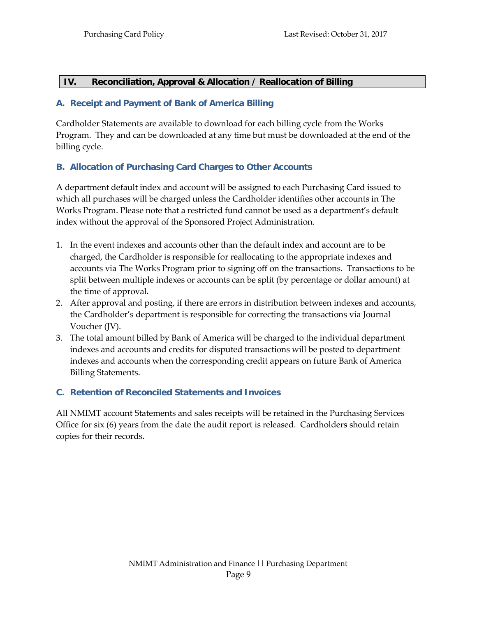#### <span id="page-11-0"></span>**IV. Reconciliation, Approval & Allocation / Reallocation of Billing**

#### <span id="page-11-1"></span>**A. Receipt and Payment of Bank of America Billing**

Cardholder Statements are available to download for each billing cycle from the Works Program. They and can be downloaded at any time but must be downloaded at the end of the billing cycle.

#### <span id="page-11-2"></span>**B. Allocation of Purchasing Card Charges to Other Accounts**

A department default index and account will be assigned to each Purchasing Card issued to which all purchases will be charged unless the Cardholder identifies other accounts in The Works Program. Please note that a restricted fund cannot be used as a department's default index without the approval of the Sponsored Project Administration.

- 1. In the event indexes and accounts other than the default index and account are to be charged, the Cardholder is responsible for reallocating to the appropriate indexes and accounts via The Works Program prior to signing off on the transactions. Transactions to be split between multiple indexes or accounts can be split (by percentage or dollar amount) at the time of approval.
- 2. After approval and posting, if there are errors in distribution between indexes and accounts, the Cardholder's department is responsible for correcting the transactions via Journal Voucher (JV).
- 3. The total amount billed by Bank of America will be charged to the individual department indexes and accounts and credits for disputed transactions will be posted to department indexes and accounts when the corresponding credit appears on future Bank of America Billing Statements.

#### <span id="page-11-3"></span>**C. Retention of Reconciled Statements and Invoices**

All NMIMT account Statements and sales receipts will be retained in the Purchasing Services Office for six (6) years from the date the audit report is released. Cardholders should retain copies for their records.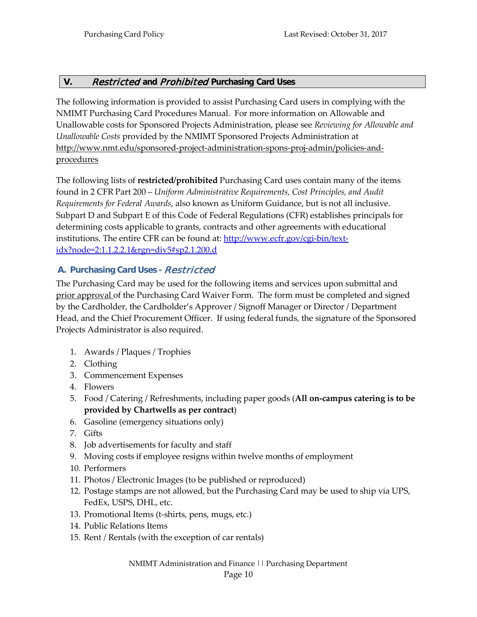#### <span id="page-12-0"></span>**V.** Restricted **and** Prohibited **Purchasing Card Uses**

The following information is provided to assist Purchasing Card users in complying with the NMIMT Purchasing Card Procedures Manual. For more information on Allowable and Unallowable costs for Sponsored Projects Administration, please see *Reviewing for Allowable and Unallowable Costs* provided by the NMIMT Sponsored Projects Administration at [http://www.nmt.edu/sponsored-project-administration-spons-proj-admin/policies-and](http://www.nmt.edu/sponsored-project-administration-spons-proj-admin/policies-and-procedures)[procedures](http://www.nmt.edu/sponsored-project-administration-spons-proj-admin/policies-and-procedures)

The following lists of **restricted/prohibited** Purchasing Card uses contain many of the items found in 2 CFR Part 200 – *Uniform Administrative Requirements, Cost Principles, and Audit Requirements for Federal Awards*, also known as Uniform Guidance, but is not all inclusive. Subpart D and Subpart E of this Code of Federal Regulations (CFR) establishes principals for determining costs applicable to grants, contracts and other agreements with educational institutions. The entire CFR can be found at: [http://www.ecfr.gov/cgi-bin/text](http://www.ecfr.gov/cgi-bin/text-idx?node=2%3A1.1.2.2.1&rgn=div5%23sp2.1.200.d)[idx?node=2:1.1.2.2.1&rgn=div5#sp2.1.200.d](http://www.ecfr.gov/cgi-bin/text-idx?node=2%3A1.1.2.2.1&rgn=div5%23sp2.1.200.d)

#### <span id="page-12-1"></span>**A. Purchasing Card Uses -** Restricted

The Purchasing Card may be used for the following items and services upon submittal and prior approval of the Purchasing Card Waiver Form. The form must be completed and signed by the Cardholder, the Cardholder's Approver / Signoff Manager or Director / Department Head, and the Chief Procurement Officer. If using federal funds, the signature of the Sponsored Projects Administrator is also required.

- 1. Awards / Plaques / Trophies
- 2. Clothing
- 3. Commencement Expenses
- 4. Flowers
- 5. Food / Catering / Refreshments, including paper goods (**All on-campus catering is to be provided by Chartwells as per contract**)
- 6. Gasoline (emergency situations only)
- 7. Gifts
- 8. Job advertisements for faculty and staff
- 9. Moving costs if employee resigns within twelve months of employment
- 10. Performers
- 11. Photos / Electronic Images (to be published or reproduced)
- 12. Postage stamps are not allowed, but the Purchasing Card may be used to ship via UPS, FedEx, USPS, DHL, etc.
- 13. Promotional Items (t-shirts, pens, mugs, etc.)
- 14. Public Relations Items
- 15. Rent / Rentals (with the exception of car rentals)

NMIMT Administration and Finance || Purchasing Department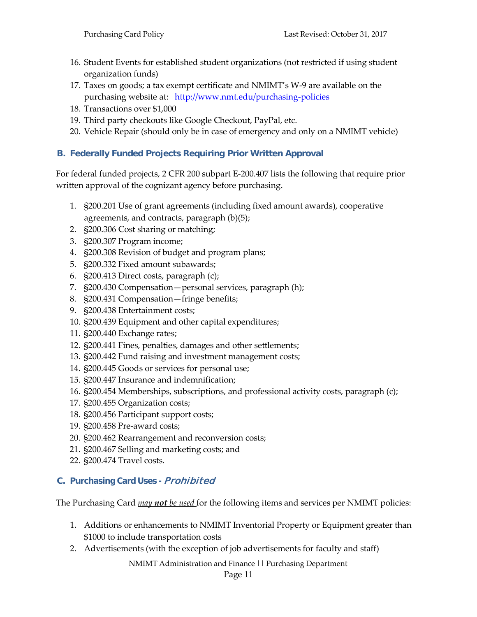- 16. Student Events for established student organizations (not restricted if using student organization funds)
- 17. Taxes on goods; a tax exempt certificate and NMIMT's W-9 are available on the purchasing website at: <http://www.nmt.edu/purchasing-policies>
- 18. Transactions over \$1,000
- 19. Third party checkouts like Google Checkout, PayPal, etc.
- 20. Vehicle Repair (should only be in case of emergency and only on a NMIMT vehicle)

#### <span id="page-13-0"></span>**B. Federally Funded Projects Requiring Prior Written Approval**

For federal funded projects, 2 CFR 200 subpart E-200.407 lists the following that require prior written approval of the cognizant agency before purchasing.

- 1. §200.201 Use of grant agreements (including fixed amount awards), cooperative agreements, and contracts, paragraph (b)(5);
- 2. §200.306 Cost sharing or matching;
- 3. §200.307 Program income;
- 4. §200.308 Revision of budget and program plans;
- 5. §200.332 Fixed amount subawards;
- 6. §200.413 Direct costs, paragraph (c);
- 7. §200.430 Compensation—personal services, paragraph (h);
- 8. §200.431 Compensation—fringe benefits;
- 9. §200.438 Entertainment costs;
- 10. §200.439 Equipment and other capital expenditures;
- 11. §200.440 Exchange rates;
- 12. §200.441 Fines, penalties, damages and other settlements;
- 13. §200.442 Fund raising and investment management costs;
- 14. §200.445 Goods or services for personal use;
- 15. §200.447 Insurance and indemnification;
- 16. §200.454 Memberships, subscriptions, and professional activity costs, paragraph (c);
- 17. §200.455 Organization costs;
- 18. §200.456 Participant support costs;
- 19. §200.458 Pre-award costs;
- 20. §200.462 Rearrangement and reconversion costs;
- 21. §200.467 Selling and marketing costs; and
- 22. §200.474 Travel costs.

#### **C. Purchasing Card Uses -** Prohibited

The Purchasing Card *may not be used* for the following items and services per NMIMT policies:

- 1. Additions or enhancements to NMIMT Inventorial Property or Equipment greater than \$1000 to include transportation costs
- 2. Advertisements (with the exception of job advertisements for faculty and staff)

NMIMT Administration and Finance || Purchasing Department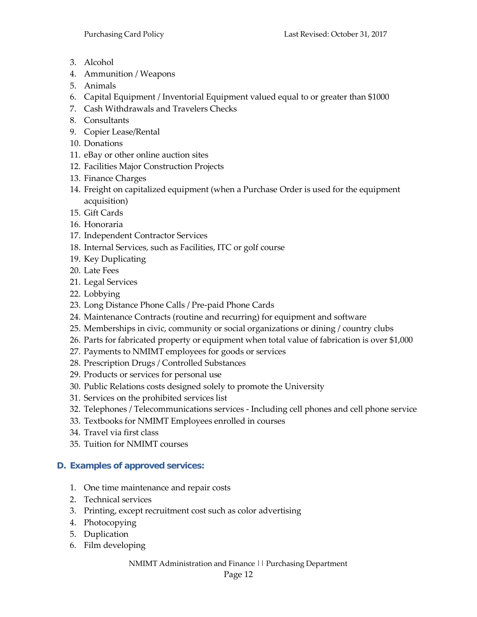- 3. Alcohol
- 4. Ammunition / Weapons
- 5. Animals
- 6. Capital Equipment / Inventorial Equipment valued equal to or greater than \$1000
- 7. Cash Withdrawals and Travelers Checks
- 8. Consultants
- 9. Copier Lease/Rental
- 10. Donations
- 11. eBay or other online auction sites
- 12. Facilities Major Construction Projects
- 13. Finance Charges
- 14. Freight on capitalized equipment (when a Purchase Order is used for the equipment acquisition)
- 15. Gift Cards
- 16. Honoraria
- 17. Independent Contractor Services
- 18. Internal Services, such as Facilities, ITC or golf course
- 19. Key Duplicating
- 20. Late Fees
- 21. Legal Services
- 22. Lobbying
- 23. Long Distance Phone Calls / Pre-paid Phone Cards
- 24. Maintenance Contracts (routine and recurring) for equipment and software
- 25. Memberships in civic, community or social organizations or dining / country clubs
- 26. Parts for fabricated property or equipment when total value of fabrication is over \$1,000
- 27. Payments to NMIMT employees for goods or services
- 28. Prescription Drugs / Controlled Substances
- 29. Products or services for personal use
- 30. Public Relations costs designed solely to promote the University
- 31. Services on the prohibited services list
- 32. Telephones / Telecommunications services Including cell phones and cell phone service
- 33. Textbooks for NMIMT Employees enrolled in courses
- 34. Travel via first class
- 35. Tuition for NMIMT courses

#### <span id="page-14-0"></span>**D. Examples of approved services:**

- 1. One time maintenance and repair costs
- 2. Technical services
- 3. Printing, except recruitment cost such as color advertising
- 4. Photocopying
- 5. Duplication
- 6. Film developing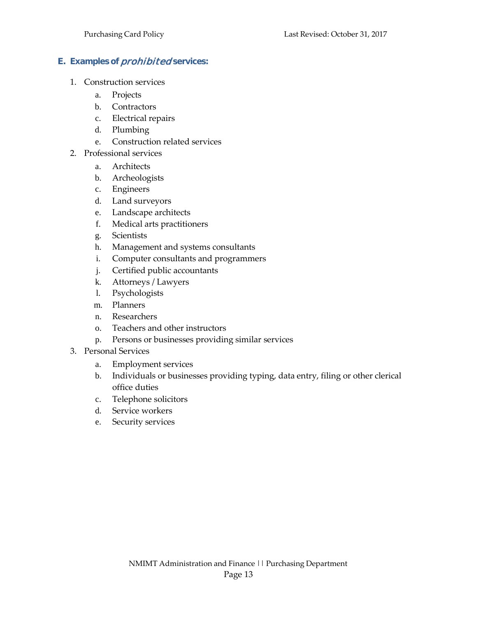#### <span id="page-15-1"></span><span id="page-15-0"></span>**E. Examples of** prohibited **services:**

- 1. Construction services
	- a. Projects
	- b. Contractors
	- c. Electrical repairs
	- d. Plumbing
	- e. Construction related services
- <span id="page-15-2"></span>2. Professional services
	- a. Architects
	- b. Archeologists
	- c. Engineers
	- d. Land surveyors
	- e. Landscape architects
	- f. Medical arts practitioners
	- g. Scientists
	- h. Management and systems consultants
	- i. Computer consultants and programmers
	- j. Certified public accountants
	- k. Attorneys / Lawyers
	- l. Psychologists
	- m. Planners
	- n. Researchers
	- o. Teachers and other instructors
	- p. Persons or businesses providing similar services
- <span id="page-15-3"></span>3. Personal Services
	- a. Employment services
	- b. Individuals or businesses providing typing, data entry, filing or other clerical office duties
	- c. Telephone solicitors
	- d. Service workers
	- e. Security services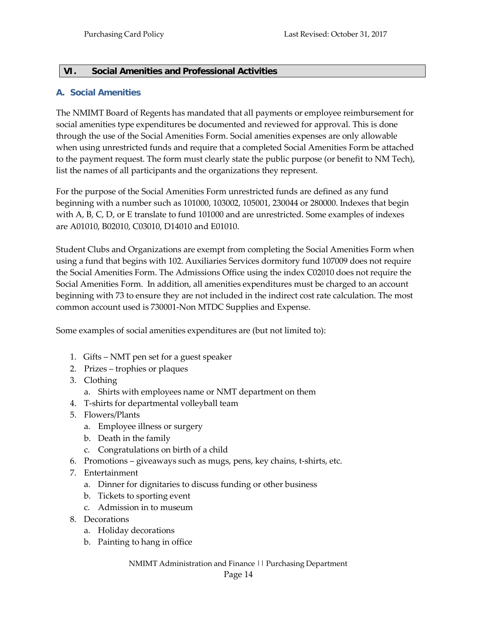#### <span id="page-16-0"></span>**VI. Social Amenities and Professional Activities**

#### <span id="page-16-1"></span>**A. Social Amenities**

The NMIMT Board of Regents has mandated that all payments or employee reimbursement for social amenities type expenditures be documented and reviewed for approval. This is done through the use of the Social Amenities Form. Social amenities expenses are only allowable when using unrestricted funds and require that a completed Social Amenities Form be attached to the payment request. The form must clearly state the public purpose (or benefit to NM Tech), list the names of all participants and the organizations they represent.

For the purpose of the Social Amenities Form unrestricted funds are defined as any fund beginning with a number such as 101000, 103002, 105001, 230044 or 280000. Indexes that begin with A, B, C, D, or E translate to fund 101000 and are unrestricted. Some examples of indexes are A01010, B02010, C03010, D14010 and E01010.

Student Clubs and Organizations are exempt from completing the Social Amenities Form when using a fund that begins with 102. Auxiliaries Services dormitory fund 107009 does not require the Social Amenities Form. The Admissions Office using the index C02010 does not require the Social Amenities Form. In addition, all amenities expenditures must be charged to an account beginning with 73 to ensure they are not included in the indirect cost rate calculation. The most common account used is 730001-Non MTDC Supplies and Expense.

Some examples of social amenities expenditures are (but not limited to):

- 1. Gifts NMT pen set for a guest speaker
- 2. Prizes trophies or plaques
- 3. Clothing
	- a. Shirts with employees name or NMT department on them
- 4. T-shirts for departmental volleyball team
- 5. Flowers/Plants
	- a. Employee illness or surgery
	- b. Death in the family
	- c. Congratulations on birth of a child
- 6. Promotions giveaways such as mugs, pens, key chains, t-shirts, etc.
- 7. Entertainment
	- a. Dinner for dignitaries to discuss funding or other business
	- b. Tickets to sporting event
	- c. Admission in to museum
- 8. Decorations
	- a. Holiday decorations
	- b. Painting to hang in office

NMIMT Administration and Finance || Purchasing Department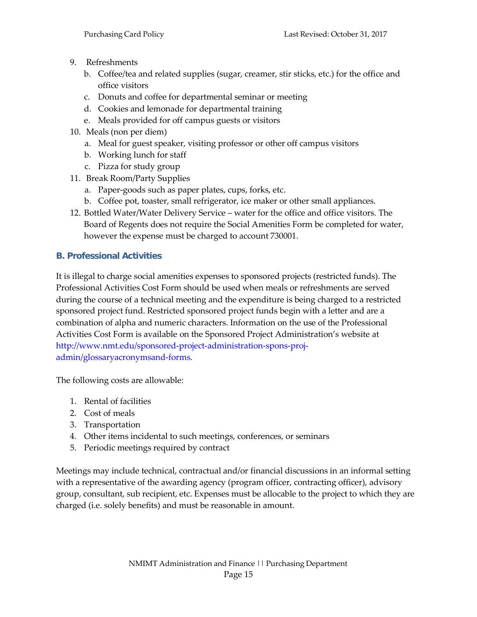- 9. Refreshments
	- b. Coffee/tea and related supplies (sugar, creamer, stir sticks, etc.) for the office and office visitors
	- c. Donuts and coffee for departmental seminar or meeting
	- d. Cookies and lemonade for departmental training
	- e. Meals provided for off campus guests or visitors
- 10. Meals (non per diem)
	- a. Meal for guest speaker, visiting professor or other off campus visitors
	- b. Working lunch for staff
	- c. Pizza for study group
- 11. Break Room/Party Supplies
	- a. Paper-goods such as paper plates, cups, forks, etc.
	- b. Coffee pot, toaster, small refrigerator, ice maker or other small appliances.
- 12. Bottled Water/Water Delivery Service water for the office and office visitors. The Board of Regents does not require the Social Amenities Form be completed for water, however the expense must be charged to account 730001.

#### <span id="page-17-0"></span>**B. Professional Activities**

It is illegal to charge social amenities expenses to sponsored projects (restricted funds). The Professional Activities Cost Form should be used when meals or refreshments are served during the course of a technical meeting and the expenditure is being charged to a restricted sponsored project fund. Restricted sponsored project funds begin with a letter and are a combination of alpha and numeric characters. Information on the use of the Professional Activities Cost Form is available on the Sponsored Project Administration's website at [http://www.nmt.edu/sponsored-project-administration-spons-proj](http://www.nmt.edu/sponsored-project-administration-spons-proj-)admin/glossaryacronymsand-forms.

The following costs are allowable:

- 1. Rental of facilities
- 2. Cost of meals
- 3. Transportation
- 4. Other items incidental to such meetings, conferences, or seminars
- 5. Periodic meetings required by contract

Meetings may include technical, contractual and/or financial discussions in an informal setting with a representative of the awarding agency (program officer, contracting officer), advisory group, consultant, sub recipient, etc. Expenses must be allocable to the project to which they are charged (i.e. solely benefits) and must be reasonable in amount.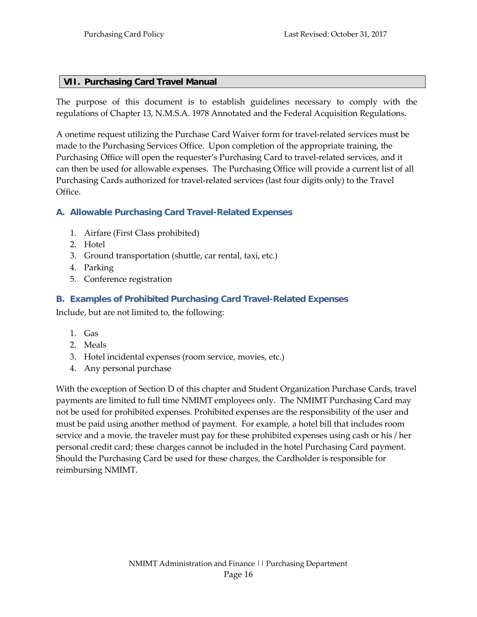#### <span id="page-18-0"></span>**VII. Purchasing Card Travel Manual**

The purpose of this document is to establish guidelines necessary to comply with the regulations of Chapter 13, N.M.S.A. 1978 Annotated and the Federal Acquisition Regulations.

A onetime request utilizing the Purchase Card Waiver form for travel-related services must be made to the Purchasing Services Office. Upon completion of the appropriate training, the Purchasing Office will open the requester's Purchasing Card to travel-related services, and it can then be used for allowable expenses. The Purchasing Office will provide a current list of all Purchasing Cards authorized for travel-related services (last four digits only) to the Travel Office.

#### <span id="page-18-1"></span>**A. Allowable Purchasing Card Travel-Related Expenses**

- 1. Airfare (First Class prohibited)
- 2. Hotel
- 3. Ground transportation (shuttle, car rental, taxi, etc.)
- 4. Parking
- <span id="page-18-2"></span>5. Conference registration

#### **B. Examples of Prohibited Purchasing Card Travel-Related Expenses**

Include, but are not limited to, the following:

- 1. Gas
- 2. Meals
- 3. Hotel incidental expenses (room service, movies, etc.)
- 4. Any personal purchase

With the exception of Section D of this chapter and Student Organization Purchase Cards, travel payments are limited to full time NMIMT employees only. The NMIMT Purchasing Card may not be used for prohibited expenses. Prohibited expenses are the responsibility of the user and must be paid using another method of payment. For example, a hotel bill that includes room service and a movie, the traveler must pay for these prohibited expenses using cash or his / her personal credit card; these charges cannot be included in the hotel Purchasing Card payment. Should the Purchasing Card be used for these charges, the Cardholder is responsible for reimbursing NMIMT.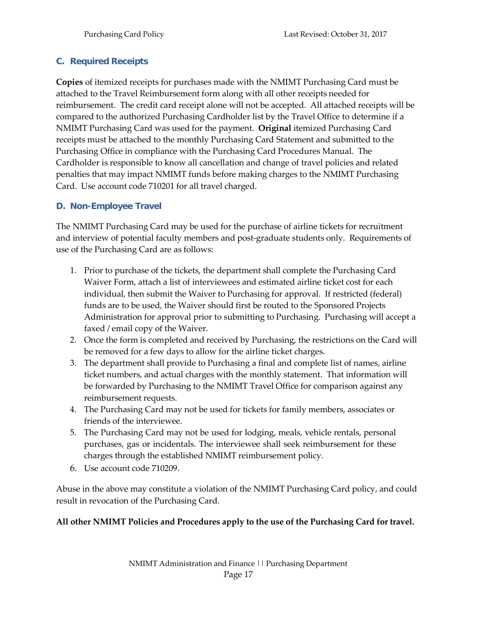#### <span id="page-19-0"></span>**C. Required Receipts**

**Copies** of itemized receipts for purchases made with the NMIMT Purchasing Card must be attached to the Travel Reimbursement form along with all other receipts needed for reimbursement. The credit card receipt alone will not be accepted. All attached receipts will be compared to the authorized Purchasing Cardholder list by the Travel Office to determine if a NMIMT Purchasing Card was used for the payment. **Original** itemized Purchasing Card receipts must be attached to the monthly Purchasing Card Statement and submitted to the Purchasing Office in compliance with the Purchasing Card Procedures Manual. The Cardholder is responsible to know all cancellation and change of travel policies and related penalties that may impact NMIMT funds before making charges to the NMIMT Purchasing Card. Use account code 710201 for all travel charged.

#### <span id="page-19-1"></span>**D. Non-Employee Travel**

The NMIMT Purchasing Card may be used for the purchase of airline tickets for recruitment and interview of potential faculty members and post-graduate students only. Requirements of use of the Purchasing Card are as follows:

- 1. Prior to purchase of the tickets, the department shall complete the Purchasing Card Waiver Form, attach a list of interviewees and estimated airline ticket cost for each individual, then submit the Waiver to Purchasing for approval. If restricted (federal) funds are to be used, the Waiver should first be routed to the Sponsored Projects Administration for approval prior to submitting to Purchasing. Purchasing will accept a faxed / email copy of the Waiver.
- 2. Once the form is completed and received by Purchasing, the restrictions on the Card will be removed for a few days to allow for the airline ticket charges.
- 3. The department shall provide to Purchasing a final and complete list of names, airline ticket numbers, and actual charges with the monthly statement. That information will be forwarded by Purchasing to the NMIMT Travel Office for comparison against any reimbursement requests.
- 4. The Purchasing Card may not be used for tickets for family members, associates or friends of the interviewee.
- 5. The Purchasing Card may not be used for lodging, meals, vehicle rentals, personal purchases, gas or incidentals. The interviewee shall seek reimbursement for these charges through the established NMIMT reimbursement policy.
- 6. Use account code 710209.

Abuse in the above may constitute a violation of the NMIMT Purchasing Card policy, and could result in revocation of the Purchasing Card.

#### **All other NMIMT Policies and Procedures apply to the use of the Purchasing Card for travel.**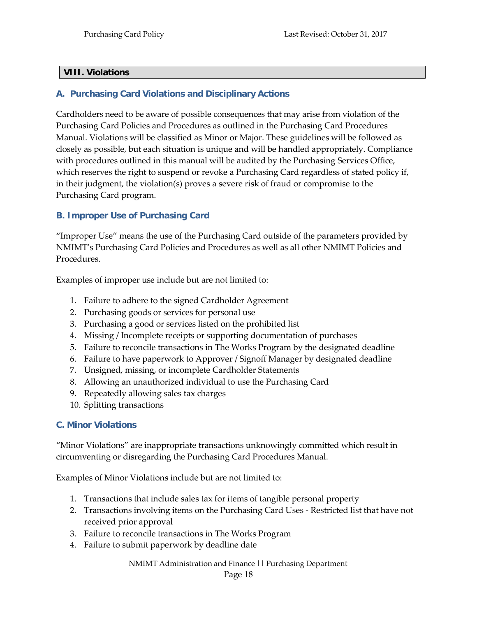#### <span id="page-20-0"></span>**VIII. Violations**

#### <span id="page-20-1"></span>**A. Purchasing Card Violations and Disciplinary Actions**

Cardholders need to be aware of possible consequences that may arise from violation of the Purchasing Card Policies and Procedures as outlined in the Purchasing Card Procedures Manual. Violations will be classified as Minor or Major. These guidelines will be followed as closely as possible, but each situation is unique and will be handled appropriately. Compliance with procedures outlined in this manual will be audited by the Purchasing Services Office, which reserves the right to suspend or revoke a Purchasing Card regardless of stated policy if, in their judgment, the violation(s) proves a severe risk of fraud or compromise to the Purchasing Card program.

#### <span id="page-20-2"></span>**B. Improper Use of Purchasing Card**

"Improper Use" means the use of the Purchasing Card outside of the parameters provided by NMIMT's Purchasing Card Policies and Procedures as well as all other NMIMT Policies and Procedures.

Examples of improper use include but are not limited to:

- 1. Failure to adhere to the signed Cardholder Agreement
- 2. Purchasing goods or services for personal use
- 3. Purchasing a good or services listed on the prohibited list
- 4. Missing / Incomplete receipts or supporting documentation of purchases
- 5. Failure to reconcile transactions in The Works Program by the designated deadline
- 6. Failure to have paperwork to Approver / Signoff Manager by designated deadline
- 7. Unsigned, missing, or incomplete Cardholder Statements
- 8. Allowing an unauthorized individual to use the Purchasing Card
- 9. Repeatedly allowing sales tax charges
- 10. Splitting transactions

#### <span id="page-20-3"></span>**C. Minor Violations**

"Minor Violations" are inappropriate transactions unknowingly committed which result in circumventing or disregarding the Purchasing Card Procedures Manual.

Examples of Minor Violations include but are not limited to:

- 1. Transactions that include sales tax for items of tangible personal property
- 2. Transactions involving items on the Purchasing Card Uses Restricted list that have not received prior approval
- 3. Failure to reconcile transactions in The Works Program
- 4. Failure to submit paperwork by deadline date

NMIMT Administration and Finance || Purchasing Department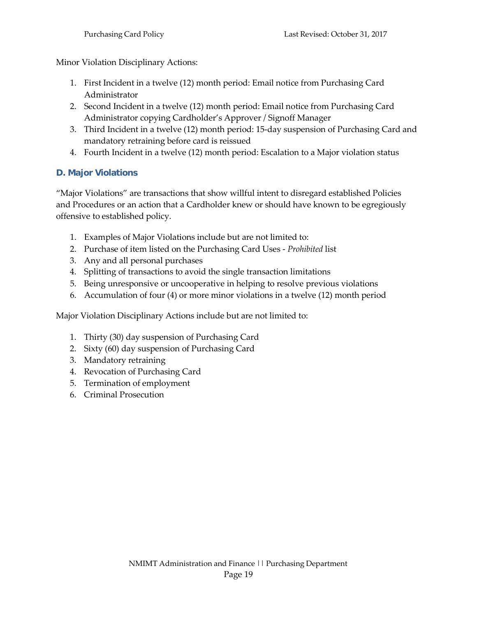Minor Violation Disciplinary Actions:

- 1. First Incident in a twelve (12) month period: Email notice from Purchasing Card Administrator
- 2. Second Incident in a twelve (12) month period: Email notice from Purchasing Card Administrator copying Cardholder's Approver / Signoff Manager
- 3. Third Incident in a twelve (12) month period: 15-day suspension of Purchasing Card and mandatory retraining before card is reissued
- 4. Fourth Incident in a twelve (12) month period: Escalation to a Major violation status

#### <span id="page-21-0"></span>**D. Major Violations**

"Major Violations" are transactions that show willful intent to disregard established Policies and Procedures or an action that a Cardholder knew or should have known to be egregiously offensive to established policy.

- 1. Examples of Major Violations include but are not limited to:
- 2. Purchase of item listed on the Purchasing Card Uses *Prohibited* list
- 3. Any and all personal purchases
- 4. Splitting of transactions to avoid the single transaction limitations
- 5. Being unresponsive or uncooperative in helping to resolve previous violations
- 6. Accumulation of four (4) or more minor violations in a twelve (12) month period

Major Violation Disciplinary Actions include but are not limited to:

- 1. Thirty (30) day suspension of Purchasing Card
- 2. Sixty (60) day suspension of Purchasing Card
- 3. Mandatory retraining
- 4. Revocation of Purchasing Card
- 5. Termination of employment
- 6. Criminal Prosecution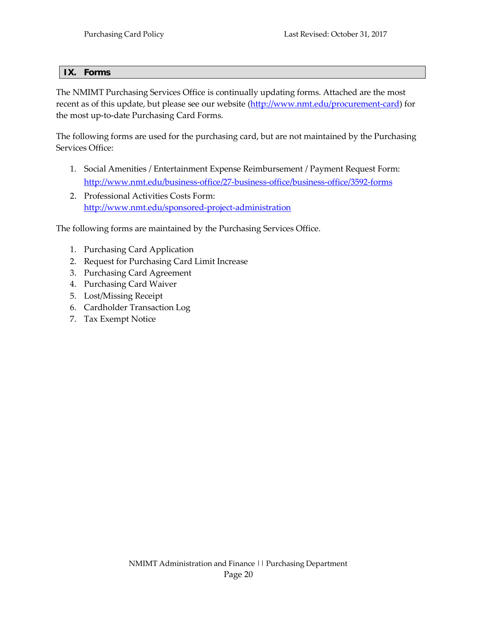#### <span id="page-22-0"></span>**IX. Forms**

The NMIMT Purchasing Services Office is continually updating forms. Attached are the most recent as of this update, but please see our website [\(http://www.nmt.edu/procurement-card\)](http://www.nmt.edu/procurement-card) for the most up-to-date Purchasing Card Forms.

The following forms are used for the purchasing card, but are not maintained by the Purchasing Services Office:

- <span id="page-22-1"></span>1. Social Amenities / Entertainment Expense Reimbursement / Payment Request Form: <http://www.nmt.edu/business-office/27-business-office/business-office/3592-forms>
- <span id="page-22-2"></span>2. Professional Activities Costs Form: <http://www.nmt.edu/sponsored-project-administration>

The following forms are maintained by the Purchasing Services Office.

- 1. Purchasing Card Application
- 2. Request for Purchasing Card Limit Increase
- 3. Purchasing Card Agreement
- 4. Purchasing Card Waiver
- 5. Lost/Missing Receipt
- 6. Cardholder Transaction Log
- 7. Tax Exempt Notice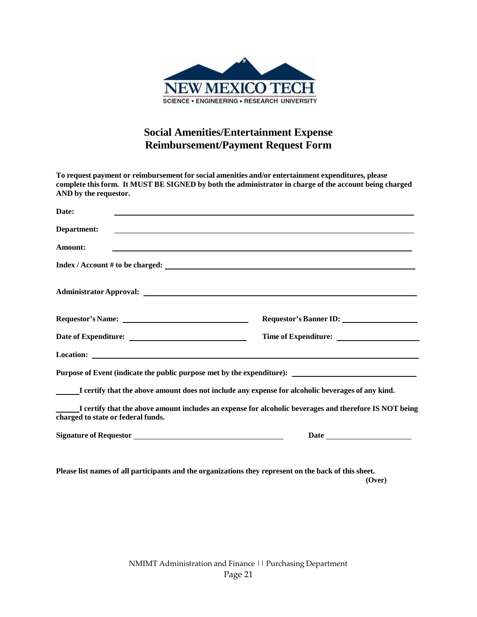

#### **Social Amenities/Entertainment Expense Reimbursement/Payment Request Form**

| To request payment or reimbursement for social amenities and/or entertainment expenditures, please<br>complete this form. It MUST BE SIGNED by both the administrator in charge of the account being charged<br>AND by the requestor. |                                                                                                        |
|---------------------------------------------------------------------------------------------------------------------------------------------------------------------------------------------------------------------------------------|--------------------------------------------------------------------------------------------------------|
| Date:                                                                                                                                                                                                                                 |                                                                                                        |
| Department:<br><u> 1989 - Johann Harry Harry Harry Harry Harry Harry Harry Harry Harry Harry Harry Harry Harry Harry Harry Harry</u>                                                                                                  |                                                                                                        |
| Amount:                                                                                                                                                                                                                               | ,我们也不会有什么。""我们的人,我们也不会有什么?""我们的人,我们也不会有什么?""我们的人,我们也不会有什么?""我们的人,我们也不会有什么?""我们的人                       |
|                                                                                                                                                                                                                                       |                                                                                                        |
| <b>Administrator Approval:</b> Administrator Approval:                                                                                                                                                                                |                                                                                                        |
|                                                                                                                                                                                                                                       |                                                                                                        |
|                                                                                                                                                                                                                                       |                                                                                                        |
|                                                                                                                                                                                                                                       |                                                                                                        |
| Purpose of Event (indicate the public purpose met by the expenditure): _____________________________                                                                                                                                  |                                                                                                        |
| I certify that the above amount does not include any expense for alcoholic beverages of any kind.                                                                                                                                     |                                                                                                        |
| charged to state or federal funds.                                                                                                                                                                                                    | I certify that the above amount includes an expense for alcoholic beverages and therefore IS NOT being |
|                                                                                                                                                                                                                                       |                                                                                                        |
|                                                                                                                                                                                                                                       |                                                                                                        |

**Please list names of all participants and the organizations they represent on the back of this sheet. (Over)**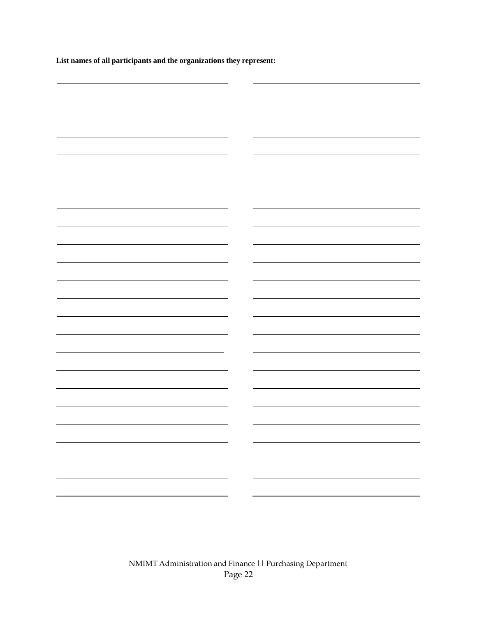**List names of all participants and the organizations they represent:**

|   | $\overline{\phantom{0}}$ |
|---|--------------------------|
|   |                          |
|   |                          |
|   |                          |
|   |                          |
|   |                          |
|   |                          |
|   |                          |
|   | $\overline{\phantom{0}}$ |
|   |                          |
|   |                          |
|   |                          |
|   |                          |
|   | -                        |
|   |                          |
|   |                          |
|   | $\overline{\phantom{0}}$ |
|   |                          |
|   |                          |
|   | Ξ.                       |
|   |                          |
| - |                          |
|   |                          |
|   |                          |
|   |                          |
|   |                          |
|   |                          |
|   |                          |
|   |                          |
|   |                          |
|   |                          |
|   |                          |
|   | -                        |
|   |                          |
|   |                          |
|   |                          |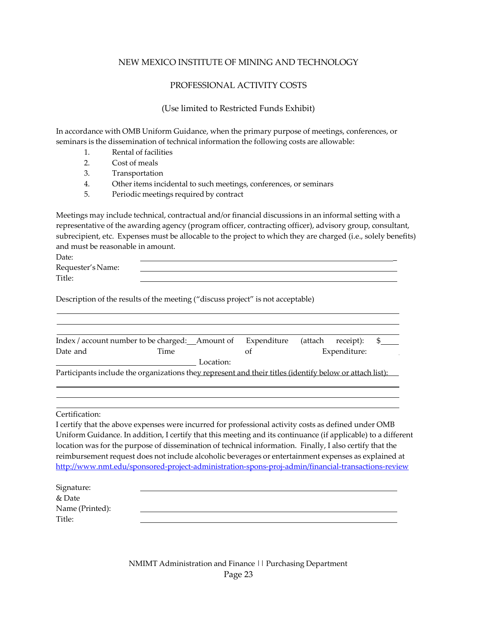#### NEW MEXICO INSTITUTE OF MINING AND TECHNOLOGY

#### PROFESSIONAL ACTIVITY COSTS

#### (Use limited to Restricted Funds Exhibit)

In accordance with OMB Uniform Guidance, when the primary purpose of meetings, conferences, or seminars is the dissemination of technical information the following costs are allowable:

- 1. Rental of facilities
- 2. Cost of meals

3. Transportation

- 4. Other items incidental to such meetings, conferences, or seminars
- 5. Periodic meetings required by contract

Meetings may include technical, contractual and/or financial discussions in an informal setting with a representative of the awarding agency (program officer, contracting officer), advisory group, consultant, subrecipient, etc. Expenses must be allocable to the project to which they are charged (i.e., solely benefits) and must be reasonable in amount.

| Date:             |  |
|-------------------|--|
| Requester's Name: |  |
| Title:            |  |

Description of the results of the meeting ("discuss project" is not acceptable)

|          | Index / account number to be charged: Amount of                                                         | Expenditure | (attach | receipt):    |  |
|----------|---------------------------------------------------------------------------------------------------------|-------------|---------|--------------|--|
| Date and | Time                                                                                                    | Ωt          |         | Expenditure: |  |
|          | Location:                                                                                               |             |         |              |  |
|          | Participants include the organizations they represent and their titles (identify below or attach list): |             |         |              |  |

Certification:

I certify that the above expenses were incurred for professional activity costs as defined under OMB Uniform Guidance. In addition, I certify that this meeting and its continuance (if applicable) to a different location was for the purpose of dissemination of technical information. Finally, I also certify that the reimbursement request does not include alcoholic beverages or entertainment expenses as explained at <http://www.nmt.edu/sponsored-project-administration-spons-proj-admin/financial-transactions-review>

| Signature:      |  |
|-----------------|--|
| & Date          |  |
| Name (Printed): |  |
| Title:          |  |
|                 |  |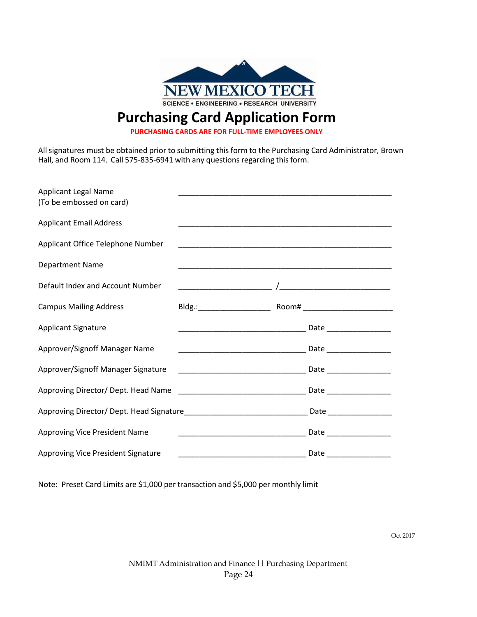

### **Purchasing Card Application Form**

**PURCHASING CARDS ARE FOR FULL-TIME EMPLOYEES ONLY**

All signatures must be obtained prior to submitting this form to the Purchasing Card Administrator, Brown Hall, and Room 114. Call 575-835-6941 with any questions regarding this form.

| <b>Applicant Legal Name</b><br>(To be embossed on card)                                              |                                                                                                                      |  |
|------------------------------------------------------------------------------------------------------|----------------------------------------------------------------------------------------------------------------------|--|
| <b>Applicant Email Address</b>                                                                       |                                                                                                                      |  |
| Applicant Office Telephone Number                                                                    |                                                                                                                      |  |
| Department Name                                                                                      | <u> 1990 - Jan James James James James James James James James James James James James James James James James J</u> |  |
| Default Index and Account Number                                                                     |                                                                                                                      |  |
| <b>Campus Mailing Address</b>                                                                        |                                                                                                                      |  |
| <b>Applicant Signature</b>                                                                           |                                                                                                                      |  |
| Approver/Signoff Manager Name                                                                        |                                                                                                                      |  |
| Approver/Signoff Manager Signature                                                                   |                                                                                                                      |  |
| Approving Director/ Dept. Head Name                                                                  |                                                                                                                      |  |
| Approving Director/ Dept. Head Signature___________________________________Date ____________________ |                                                                                                                      |  |
| Approving Vice President Name                                                                        | Date _________________                                                                                               |  |
| Approving Vice President Signature                                                                   |                                                                                                                      |  |

Note: Preset Card Limits are \$1,000 per transaction and \$5,000 per monthly limit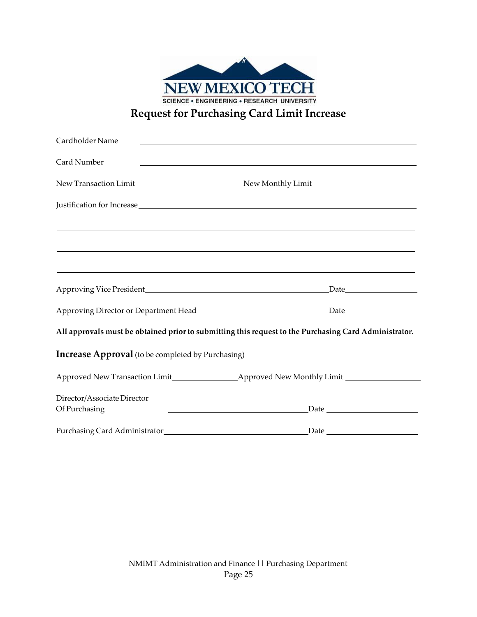| <b>NEW MEXICO TECH</b>                             |
|----------------------------------------------------|
| <b>SCIENCE . ENGINEERING . RESEARCH UNIVERSITY</b> |
| <b>Request for Purchasing Card Limit Increase</b>  |

| Cardholder Name                                          |                                                                                                                                                 |
|----------------------------------------------------------|-------------------------------------------------------------------------------------------------------------------------------------------------|
| Card Number                                              | <u> 1990 - Johann Stoff, amerikansk politiker (d. 1980)</u>                                                                                     |
|                                                          |                                                                                                                                                 |
|                                                          |                                                                                                                                                 |
|                                                          | ,我们也不能在这里的时候,我们也不能在这里的时候,我们也不能会不能会不能会不能会不能会不能会不能会不能会不能会不能会。<br>第2012章 我们的时候,我们的时候,我们的时候,我们的时候,我们的时候,我们的时候,我们的时候,我们的时候,我们的时候,我们的时候,我们的时候,我们的时候,我 |
|                                                          | ,我们也不会有什么。""我们的人,我们也不会有什么?""我们的人,我们也不会有什么?""我们的人,我们也不会有什么?""我们的人,我们也不会有什么?""我们的人                                                                |
|                                                          |                                                                                                                                                 |
|                                                          |                                                                                                                                                 |
|                                                          | All approvals must be obtained prior to submitting this request to the Purchasing Card Administrator.                                           |
| <b>Increase Approval</b> (to be completed by Purchasing) |                                                                                                                                                 |
|                                                          |                                                                                                                                                 |
| Director/Associate Director                              |                                                                                                                                                 |
| Of Purchasing                                            | <u> 1989 - Johann Barn, mars eta bainar eta baina eta baina eta baina eta baina eta baina eta baina eta baina e</u>                             |
|                                                          |                                                                                                                                                 |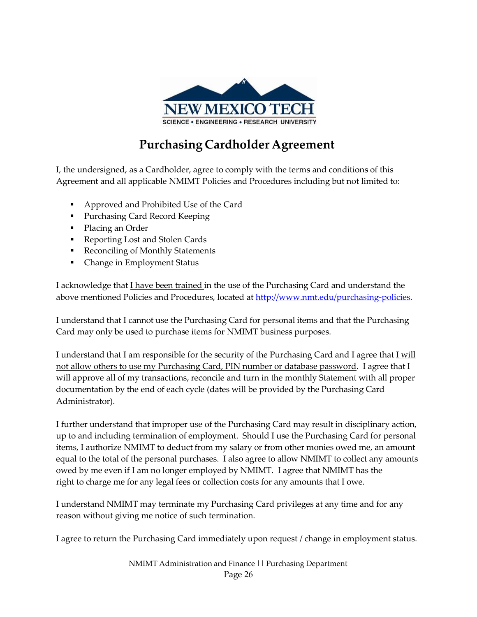

## **Purchasing Cardholder Agreement**

I, the undersigned, as a Cardholder, agree to comply with the terms and conditions of this Agreement and all applicable NMIMT Policies and Procedures including but not limited to:

- Approved and Prohibited Use of the Card
- **Purchasing Card Record Keeping**
- Placing an Order
- Reporting Lost and Stolen Cards
- Reconciling of Monthly Statements
- Change in Employment Status

I acknowledge that I have been trained in the use of the Purchasing Card and understand the above mentioned Policies and Procedures, located at [http://www.nmt.edu/purchasing-policies.](http://www.nmt.edu/purchasing-policies)

I understand that I cannot use the Purchasing Card for personal items and that the Purchasing Card may only be used to purchase items for NMIMT business purposes.

I understand that I am responsible for the security of the Purchasing Card and I agree that *I will* not allow others to use my Purchasing Card, PIN number or database password. I agree that I will approve all of my transactions, reconcile and turn in the monthly Statement with all proper documentation by the end of each cycle (dates will be provided by the Purchasing Card Administrator).

I further understand that improper use of the Purchasing Card may result in disciplinary action, up to and including termination of employment. Should I use the Purchasing Card for personal items, I authorize NMIMT to deduct from my salary or from other monies owed me, an amount equal to the total of the personal purchases. I also agree to allow NMIMT to collect any amounts owed by me even if I am no longer employed by NMIMT. I agree that NMIMT has the right to charge me for any legal fees or collection costs for any amounts that I owe.

I understand NMIMT may terminate my Purchasing Card privileges at any time and for any reason without giving me notice of such termination.

I agree to return the Purchasing Card immediately upon request / change in employment status.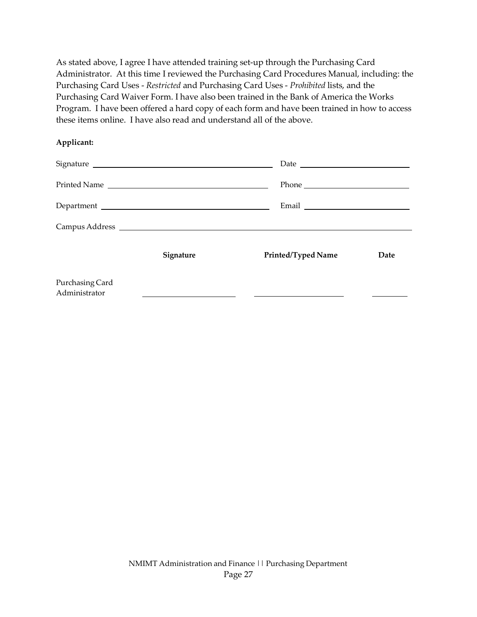As stated above, I agree I have attended training set-up through the Purchasing Card Administrator. At this time I reviewed the Purchasing Card Procedures Manual, including: the Purchasing Card Uses - *Restricted* and Purchasing Card Uses - *Prohibited* lists, and the Purchasing Card Waiver Form. I have also been trained in the Bank of America the Works Program. I have been offered a hard copy of each form and have been trained in how to access these items online. I have also read and understand all of the above.

#### **Applicant:**

|                                  |              | Date and the contract of the contract of the contract of the contract of the contract of the contract of the contract of the contract of the contract of the contract of the contract of the contract of the contract of the c |      |
|----------------------------------|--------------|--------------------------------------------------------------------------------------------------------------------------------------------------------------------------------------------------------------------------------|------|
|                                  | Printed Name |                                                                                                                                                                                                                                |      |
|                                  | Department   | Email                                                                                                                                                                                                                          |      |
|                                  |              |                                                                                                                                                                                                                                |      |
|                                  | Signature    | Printed/Typed Name                                                                                                                                                                                                             | Date |
| Purchasing Card<br>Administrator |              |                                                                                                                                                                                                                                |      |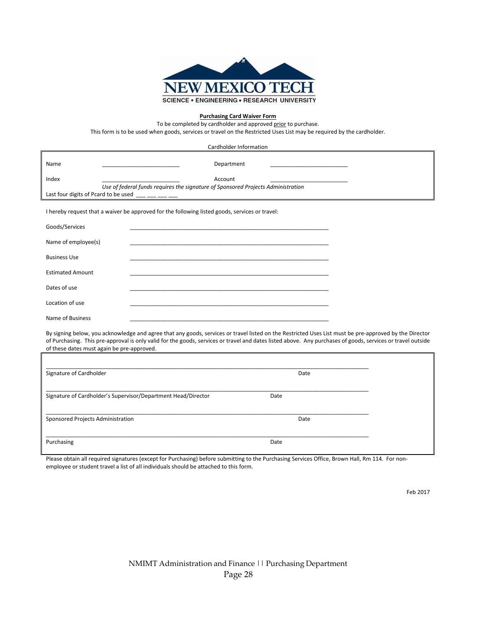

#### **Purchasing Card Waiver Form**

To be completed by cardholder and approved prior to purchase.

This form is to be used when goods, services or travel on the Restricted Uses List may be required by the cardholder.

|                         | Cardholder Information                                                                                                                                                                                                                                                                                                                                              |
|-------------------------|---------------------------------------------------------------------------------------------------------------------------------------------------------------------------------------------------------------------------------------------------------------------------------------------------------------------------------------------------------------------|
| Name                    | Department<br>the control of the control of the control of the control of the control of                                                                                                                                                                                                                                                                            |
| Index                   | Account<br>Use of federal funds requires the signature of Sponsored Projects Administration                                                                                                                                                                                                                                                                         |
|                         |                                                                                                                                                                                                                                                                                                                                                                     |
|                         | I hereby request that a waiver be approved for the following listed goods, services or travel:                                                                                                                                                                                                                                                                      |
| Goods/Services          | <u> 1980 - Johann John Stoff, deutscher Stoffen und der Stoffen und der Stoffen und der Stoffen und der Stoffen</u>                                                                                                                                                                                                                                                 |
| Name of employee(s)     |                                                                                                                                                                                                                                                                                                                                                                     |
| <b>Business Use</b>     |                                                                                                                                                                                                                                                                                                                                                                     |
| <b>Estimated Amount</b> |                                                                                                                                                                                                                                                                                                                                                                     |
| Dates of use            |                                                                                                                                                                                                                                                                                                                                                                     |
| Location of use         |                                                                                                                                                                                                                                                                                                                                                                     |
| Name of Business        |                                                                                                                                                                                                                                                                                                                                                                     |
|                         | By signing below, you acknowledge and agree that any goods, services or travel listed on the Restricted Uses List must be pre-approved by the Director<br>of Purchasing. This pre-approval is only valid for the goods, services or travel and dates listed above. Any purchases of goods, services or travel outside<br>of these dates must again be pre-approved. |
|                         |                                                                                                                                                                                                                                                                                                                                                                     |
| Signature of Cardholder | Date                                                                                                                                                                                                                                                                                                                                                                |
|                         | Signature of Cardholder's Supervisor/Department Head/Director<br>Date                                                                                                                                                                                                                                                                                               |

| Sponsored Projects Administration | Date |
|-----------------------------------|------|
|                                   |      |
| Purchasing                        | Date |

Please obtain all required signatures (except for Purchasing) before submitting to the Purchasing Services Office, Brown Hall, Rm 114. For nonemployee or student travel a list of all individuals should be attached to this form.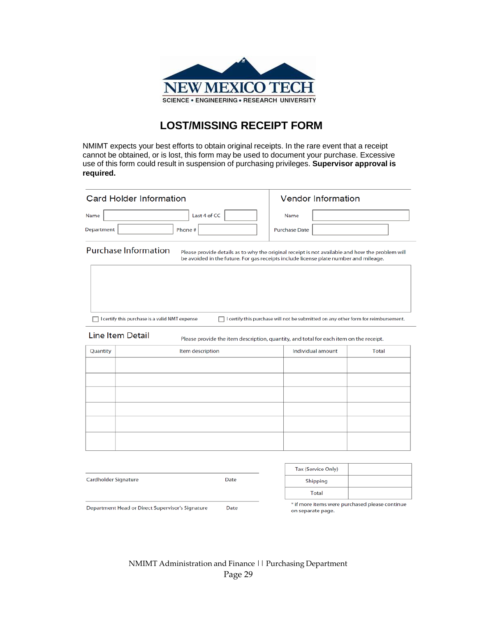

#### **LOST/MISSING RECEIPT FORM**

NMIMT expects your best efforts to obtain original receipts. In the rare event that a receipt cannot be obtained, or is lost, this form may be used to document your purchase. Excessive use of this form could result in suspension of purchasing privileges. **Supervisor approval is required.**

|                      | <b>Card Holder Information</b>                 | <b>Vendor Information</b>                                                                                                                                                               |              |
|----------------------|------------------------------------------------|-----------------------------------------------------------------------------------------------------------------------------------------------------------------------------------------|--------------|
| Name<br>Department   | Last 4 of CC<br>Phone #                        | Name<br><b>Purchase Date</b>                                                                                                                                                            |              |
|                      | <b>Purchase Information</b>                    | Please provide details as to why the original receipt is not available and how the problem will<br>be avoided in the future. For gas receipts include license plate number and mileage. |              |
|                      | I certify this purchase is a valid NMT expense | $\Box$ I certify this purchase will not be submitted on any other form for reimbursement.                                                                                               |              |
|                      | <b>Line Item Detail</b>                        | Please provide the item description, quantity, and total for each item on the receipt.                                                                                                  |              |
| Quantity             | Item description                               | Individual amount                                                                                                                                                                       | <b>Total</b> |
|                      |                                                |                                                                                                                                                                                         |              |
|                      |                                                | Tax (Service Only)                                                                                                                                                                      |              |
| Cardholder Signature | Date                                           | Shipping                                                                                                                                                                                |              |
|                      |                                                | Total                                                                                                                                                                                   |              |

Department Head or Direct Supervisor's Signature

\* if more items were purchased please continue on separate page.

Date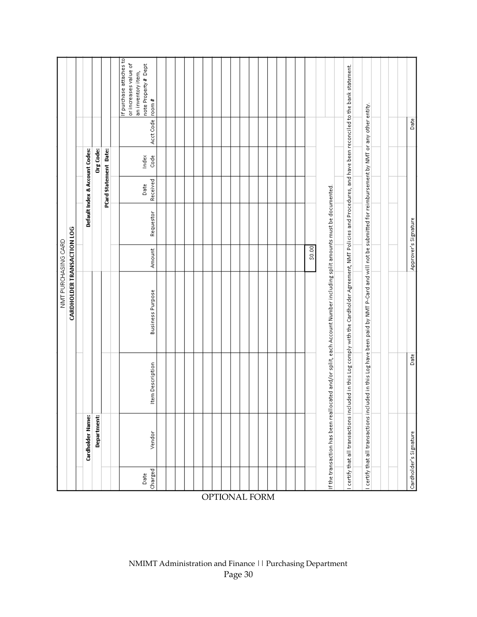|                 |                                      |                  | NMT PURCHASING CARD                                                                                                                 |                      |           |                  |                                |           |                                             |
|-----------------|--------------------------------------|------------------|-------------------------------------------------------------------------------------------------------------------------------------|----------------------|-----------|------------------|--------------------------------|-----------|---------------------------------------------|
|                 |                                      |                  | CARDHOLDER TRANSACTION LOG                                                                                                          |                      |           |                  |                                |           |                                             |
|                 | Cardholder Name:                     |                  |                                                                                                                                     |                      |           |                  | Default Index & Account Codes: |           |                                             |
|                 | Department:                          |                  |                                                                                                                                     |                      |           |                  | Org Code:                      |           |                                             |
|                 |                                      |                  |                                                                                                                                     |                      |           |                  | PCard Statement Date:          |           |                                             |
|                 |                                      |                  |                                                                                                                                     |                      |           |                  |                                |           | If purchase attaches to                     |
|                 |                                      |                  |                                                                                                                                     |                      |           |                  |                                |           | or increases value of<br>an inventory item, |
| Charged<br>Date | Vendor                               | Item Description | <b>Business Purpose</b>                                                                                                             | Amount               | Requestor | Received<br>Date | Index<br>Code                  | Acct Code | note Property# Dept<br> room#               |
|                 |                                      |                  |                                                                                                                                     |                      |           |                  |                                |           |                                             |
|                 |                                      |                  |                                                                                                                                     |                      |           |                  |                                |           |                                             |
|                 |                                      |                  |                                                                                                                                     |                      |           |                  |                                |           |                                             |
|                 |                                      |                  |                                                                                                                                     |                      |           |                  |                                |           |                                             |
|                 |                                      |                  |                                                                                                                                     |                      |           |                  |                                |           |                                             |
|                 |                                      |                  |                                                                                                                                     |                      |           |                  |                                |           |                                             |
|                 |                                      |                  |                                                                                                                                     |                      |           |                  |                                |           |                                             |
|                 |                                      |                  |                                                                                                                                     |                      |           |                  |                                |           |                                             |
|                 |                                      |                  |                                                                                                                                     |                      |           |                  |                                |           |                                             |
|                 |                                      |                  |                                                                                                                                     |                      |           |                  |                                |           |                                             |
|                 |                                      |                  |                                                                                                                                     |                      |           |                  |                                |           |                                             |
|                 |                                      |                  |                                                                                                                                     |                      |           |                  |                                |           |                                             |
|                 |                                      |                  |                                                                                                                                     |                      |           |                  |                                |           |                                             |
|                 |                                      |                  |                                                                                                                                     |                      |           |                  |                                |           |                                             |
|                 |                                      |                  |                                                                                                                                     |                      |           |                  |                                |           |                                             |
|                 |                                      |                  |                                                                                                                                     |                      |           |                  |                                |           |                                             |
|                 |                                      |                  |                                                                                                                                     | 50.00                |           |                  |                                |           |                                             |
|                 |                                      |                  |                                                                                                                                     |                      |           |                  |                                |           |                                             |
|                 |                                      |                  | If the transaction has been reallocated and/or split, each Account Number including split amounts must be documented.               |                      |           |                  |                                |           |                                             |
|                 | I certify that all transactions incl |                  | uded in this Log comply with the Cardholder Agreement, NMT Policies and Procedures, and have been reconciled to the bank statement. |                      |           |                  |                                |           |                                             |
|                 |                                      |                  |                                                                                                                                     |                      |           |                  |                                |           |                                             |
|                 | I certify that all transactions incl |                  | uded in this Log have been paid by NMT P-Card and will not be submitted for reimbursement by NMT or any other entity.               |                      |           |                  |                                |           |                                             |
|                 |                                      |                  |                                                                                                                                     |                      |           |                  |                                |           |                                             |
|                 |                                      |                  |                                                                                                                                     |                      |           |                  |                                |           |                                             |
|                 |                                      |                  |                                                                                                                                     |                      |           |                  |                                |           |                                             |
|                 | Cardholder's Signature               | Date             |                                                                                                                                     | Approver's Signature |           |                  |                                | Date      |                                             |

OPTIONAL FORM